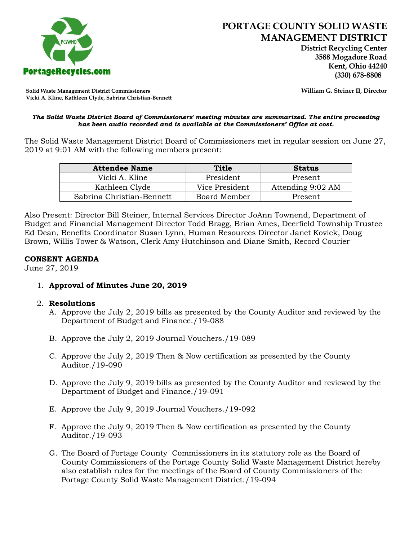

 **District Recycling Center 3588 Mogadore Road Kent, Ohio 44240**

**Solid Waste Management District Commissioners William G. Steiner II, Director Vicki A. Kline, Kathleen Clyde, Sabrina Christian-Bennett** 

#### *The Solid Waste District Board of Commissioners' meeting minutes are summarized. The entire proceeding has been audio recorded and is available at the Commissioners' Office at cost.*

The Solid Waste Management District Board of Commissioners met in regular session on June 27, 2019 at 9:01 AM with the following members present:

| <b>Attendee Name</b>      | Title          | <b>Status</b>     |
|---------------------------|----------------|-------------------|
| Vicki A. Kline            | President      | Present           |
| Kathleen Clyde            | Vice President | Attending 9:02 AM |
| Sabrina Christian-Bennett | Board Member   | Present           |

Also Present: Director Bill Steiner, Internal Services Director JoAnn Townend, Department of Budget and Financial Management Director Todd Bragg, Brian Ames, Deerfield Township Trustee Ed Dean, Benefits Coordinator Susan Lynn, Human Resources Director Janet Kovick, Doug Brown, Willis Tower & Watson, Clerk Amy Hutchinson and Diane Smith, Record Courier

## **CONSENT AGENDA**

June 27, 2019

1. **Approval of Minutes June 20, 2019**

## 2. **Resolutions**

- A. Approve the July 2, 2019 bills as presented by the County Auditor and reviewed by the Department of Budget and Finance./19-088
- B. Approve the July 2, 2019 Journal Vouchers./19-089
- C. Approve the July 2, 2019 Then & Now certification as presented by the County Auditor./19-090
- D. Approve the July 9, 2019 bills as presented by the County Auditor and reviewed by the Department of Budget and Finance./19-091
- E. Approve the July 9, 2019 Journal Vouchers./19-092
- F. Approve the July 9, 2019 Then & Now certification as presented by the County Auditor./19-093
- G. The Board of Portage County Commissioners in its statutory role as the Board of County Commissioners of the Portage County Solid Waste Management District hereby also establish rules for the meetings of the Board of County Commissioners of the Portage County Solid Waste Management District./19-094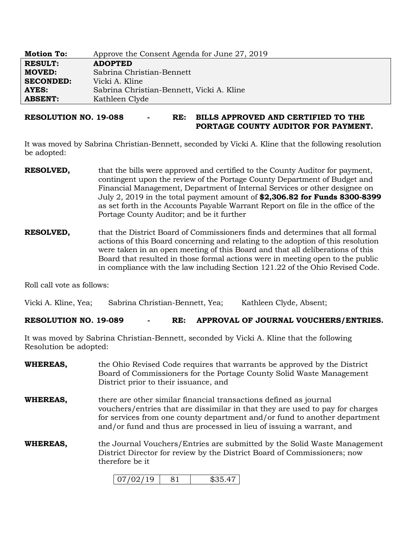| <b>Motion To:</b> | Approve the Consent Agenda for June 27, 2019 |
|-------------------|----------------------------------------------|
| <b>RESULT:</b>    | <b>ADOPTED</b>                               |
| <b>MOVED:</b>     | Sabrina Christian-Bennett                    |
| <b>SECONDED:</b>  | Vicki A. Kline                               |
| AYES:             | Sabrina Christian-Bennett, Vicki A. Kline    |
| <b>ABSENT:</b>    | Kathleen Clyde                               |

## **RESOLUTION NO. 19-088 - RE: BILLS APPROVED AND CERTIFIED TO THE PORTAGE COUNTY AUDITOR FOR PAYMENT.**

It was moved by Sabrina Christian-Bennett, seconded by Vicki A. Kline that the following resolution be adopted:

- **RESOLVED,** that the bills were approved and certified to the County Auditor for payment, contingent upon the review of the Portage County Department of Budget and Financial Management, Department of Internal Services or other designee on July 2, 2019 in the total payment amount of **\$2,306.82 for Funds 8300-8399**  as set forth in the Accounts Payable Warrant Report on file in the office of the Portage County Auditor; and be it further
- **RESOLVED,** that the District Board of Commissioners finds and determines that all formal actions of this Board concerning and relating to the adoption of this resolution were taken in an open meeting of this Board and that all deliberations of this Board that resulted in those formal actions were in meeting open to the public in compliance with the law including Section 121.22 of the Ohio Revised Code.

Roll call vote as follows:

Vicki A. Kline, Yea; Sabrina Christian-Bennett, Yea; Kathleen Clyde, Absent;

### **RESOLUTION NO. 19-089 - RE: APPROVAL OF JOURNAL VOUCHERS/ENTRIES.**

It was moved by Sabrina Christian-Bennett, seconded by Vicki A. Kline that the following Resolution be adopted:

| WHEREAS, | the Ohio Revised Code requires that warrants be approved by the District<br>Board of Commissioners for the Portage County Solid Waste Management<br>District prior to their issuance, and                                                                                                               |
|----------|---------------------------------------------------------------------------------------------------------------------------------------------------------------------------------------------------------------------------------------------------------------------------------------------------------|
| WHEREAS, | there are other similar financial transactions defined as journal<br>vouchers/entries that are dissimilar in that they are used to pay for charges<br>for services from one county department and/or fund to another department<br>and/or fund and thus are processed in lieu of issuing a warrant, and |
| WHEREAS, | the Journal Vouchers/Entries are submitted by the Solid Waste Management<br>District Director for review by the District Board of Commissioners; now<br>therefore be it                                                                                                                                 |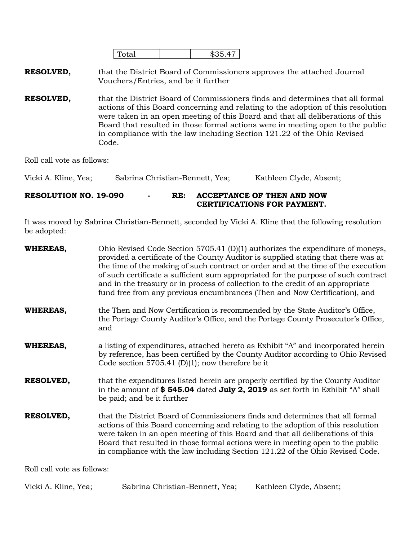| 6 ∼ 1<br>$- - -$ |  |
|------------------|--|
|                  |  |

**RESOLVED,** that the District Board of Commissioners approves the attached Journal Vouchers/Entries, and be it further

**RESOLVED,** that the District Board of Commissioners finds and determines that all formal actions of this Board concerning and relating to the adoption of this resolution were taken in an open meeting of this Board and that all deliberations of this Board that resulted in those formal actions were in meeting open to the public in compliance with the law including Section 121.22 of the Ohio Revised Code.

Roll call vote as follows:

Vicki A. Kline, Yea; Sabrina Christian-Bennett, Yea; Kathleen Clyde, Absent;

## **RESOLUTION NO. 19-090 - RE: ACCEPTANCE OF THEN AND NOW CERTIFICATIONS FOR PAYMENT.**

It was moved by Sabrina Christian-Bennett, seconded by Vicki A. Kline that the following resolution be adopted:

| <b>WHEREAS,</b>  | Ohio Revised Code Section 5705.41 $(D)(1)$ authorizes the expenditure of moneys,<br>provided a certificate of the County Auditor is supplied stating that there was at<br>the time of the making of such contract or order and at the time of the execution<br>of such certificate a sufficient sum appropriated for the purpose of such contract<br>and in the treasury or in process of collection to the credit of an appropriate<br>fund free from any previous encumbrances (Then and Now Certification), and |
|------------------|--------------------------------------------------------------------------------------------------------------------------------------------------------------------------------------------------------------------------------------------------------------------------------------------------------------------------------------------------------------------------------------------------------------------------------------------------------------------------------------------------------------------|
| <b>WHEREAS,</b>  | the Then and Now Certification is recommended by the State Auditor's Office,<br>the Portage County Auditor's Office, and the Portage County Prosecutor's Office,<br>and                                                                                                                                                                                                                                                                                                                                            |
| <b>WHEREAS,</b>  | a listing of expenditures, attached hereto as Exhibit "A" and incorporated herein<br>by reference, has been certified by the County Auditor according to Ohio Revised<br>Code section 5705.41 (D)(1); now therefore be it                                                                                                                                                                                                                                                                                          |
| <b>RESOLVED,</b> | that the expenditures listed herein are properly certified by the County Auditor<br>in the amount of \$545.04 dated July 2, 2019 as set forth in Exhibit "A" shall<br>be paid; and be it further                                                                                                                                                                                                                                                                                                                   |
| <b>RESOLVED,</b> | that the District Board of Commissioners finds and determines that all formal<br>actions of this Board concerning and relating to the adoption of this resolution<br>were taken in an open meeting of this Board and that all deliberations of this<br>Board that resulted in those formal actions were in meeting open to the public<br>in compliance with the law including Section 121.22 of the Ohio Revised Code.                                                                                             |

Roll call vote as follows:

| Vicki A. Kline, Yea; | Sabrina Christian-Bennett, Yea; | Kathleen Clyde, Absent; |
|----------------------|---------------------------------|-------------------------|
|----------------------|---------------------------------|-------------------------|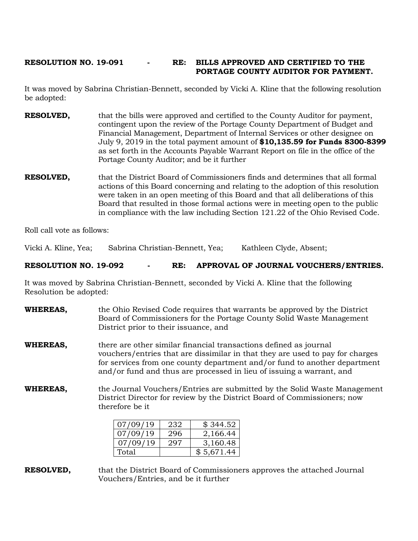### **RESOLUTION NO. 19-091 - RE: BILLS APPROVED AND CERTIFIED TO THE PORTAGE COUNTY AUDITOR FOR PAYMENT.**

It was moved by Sabrina Christian-Bennett, seconded by Vicki A. Kline that the following resolution be adopted:

- **RESOLVED,** that the bills were approved and certified to the County Auditor for payment, contingent upon the review of the Portage County Department of Budget and Financial Management, Department of Internal Services or other designee on July 9, 2019 in the total payment amount of **\$10,135.59 for Funds 8300-8399**  as set forth in the Accounts Payable Warrant Report on file in the office of the Portage County Auditor; and be it further
- **RESOLVED,** that the District Board of Commissioners finds and determines that all formal actions of this Board concerning and relating to the adoption of this resolution were taken in an open meeting of this Board and that all deliberations of this Board that resulted in those formal actions were in meeting open to the public in compliance with the law including Section 121.22 of the Ohio Revised Code.

Roll call vote as follows:

Vicki A. Kline, Yea; Sabrina Christian-Bennett, Yea; Kathleen Clyde, Absent;

**RESOLUTION NO. 19-092 - RE: APPROVAL OF JOURNAL VOUCHERS/ENTRIES.**

It was moved by Sabrina Christian-Bennett, seconded by Vicki A. Kline that the following Resolution be adopted:

| <b>WHEREAS,</b> | the Ohio Revised Code requires that warrants be approved by the District<br>Board of Commissioners for the Portage County Solid Waste Management<br>District prior to their issuance, and                                                                                                               |
|-----------------|---------------------------------------------------------------------------------------------------------------------------------------------------------------------------------------------------------------------------------------------------------------------------------------------------------|
| <b>WHEREAS,</b> | there are other similar financial transactions defined as journal<br>vouchers/entries that are dissimilar in that they are used to pay for charges<br>for services from one county department and/or fund to another department<br>and/or fund and thus are processed in lieu of issuing a warrant, and |
| <b>WHEREAS,</b> | the Journal Vouchers/Entries are submitted by the Solid Waste Management<br>District Director for review by the District Board of Commissioners; now<br>therefore be it                                                                                                                                 |

| 07/09/19 | 232 | \$344.52   |
|----------|-----|------------|
| 07/09/19 | 296 | 2,166.44   |
| 07/09/19 | 297 | 3,160.48   |
| Total    |     | \$5,671.44 |

**RESOLVED,** that the District Board of Commissioners approves the attached Journal Vouchers/Entries, and be it further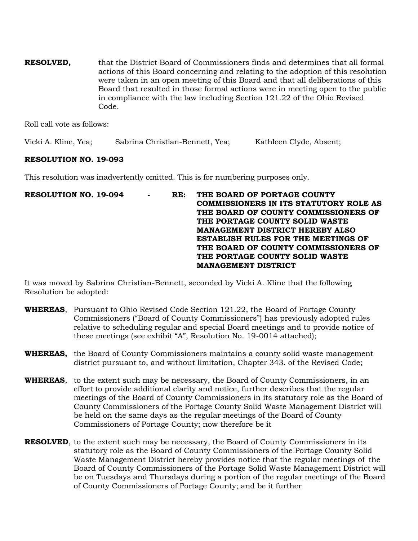**RESOLVED,** that the District Board of Commissioners finds and determines that all formal actions of this Board concerning and relating to the adoption of this resolution were taken in an open meeting of this Board and that all deliberations of this Board that resulted in those formal actions were in meeting open to the public in compliance with the law including Section 121.22 of the Ohio Revised Code.

Roll call vote as follows:

Vicki A. Kline, Yea; Sabrina Christian-Bennett, Yea; Kathleen Clyde, Absent;

## **RESOLUTION NO. 19-093**

This resolution was inadvertently omitted. This is for numbering purposes only.

**RESOLUTION NO. 19-094 - RE: THE BOARD OF PORTAGE COUNTY COMMISSIONERS IN ITS STATUTORY ROLE AS THE BOARD OF COUNTY COMMISSIONERS OF THE PORTAGE COUNTY SOLID WASTE MANAGEMENT DISTRICT HEREBY ALSO ESTABLISH RULES FOR THE MEETINGS OF THE BOARD OF COUNTY COMMISSIONERS OF THE PORTAGE COUNTY SOLID WASTE MANAGEMENT DISTRICT** 

It was moved by Sabrina Christian-Bennett, seconded by Vicki A. Kline that the following Resolution be adopted:

- **WHEREAS**, Pursuant to Ohio Revised Code Section 121.22, the Board of Portage County Commissioners ("Board of County Commissioners") has previously adopted rules relative to scheduling regular and special Board meetings and to provide notice of these meetings (see exhibit "A", Resolution No. 19-0014 attached);
- **WHEREAS,** the Board of County Commissioners maintains a county solid waste management district pursuant to, and without limitation, Chapter 343. of the Revised Code;
- **WHEREAS**, to the extent such may be necessary, the Board of County Commissioners, in an effort to provide additional clarity and notice, further describes that the regular meetings of the Board of County Commissioners in its statutory role as the Board of County Commissioners of the Portage County Solid Waste Management District will be held on the same days as the regular meetings of the Board of County Commissioners of Portage County; now therefore be it
- **RESOLVED**, to the extent such may be necessary, the Board of County Commissioners in its statutory role as the Board of County Commissioners of the Portage County Solid Waste Management District hereby provides notice that the regular meetings of the Board of County Commissioners of the Portage Solid Waste Management District will be on Tuesdays and Thursdays during a portion of the regular meetings of the Board of County Commissioners of Portage County; and be it further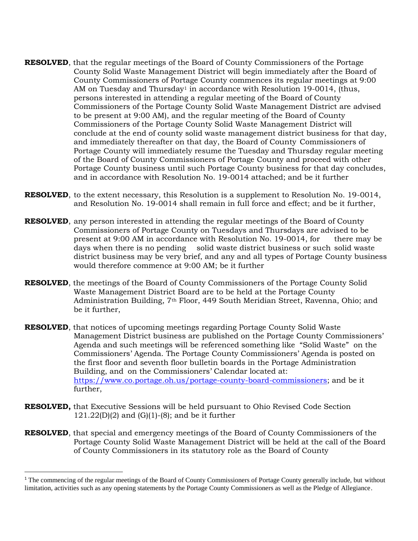- **RESOLVED**, that the regular meetings of the Board of County Commissioners of the Portage County Solid Waste Management District will begin immediately after the Board of County Commissioners of Portage County commences its regular meetings at 9:00 AM on Tuesday and Thursday<sup>1</sup> in accordance with Resolution 19-0014, (thus, persons interested in attending a regular meeting of the Board of County Commissioners of the Portage County Solid Waste Management District are advised to be present at 9:00 AM), and the regular meeting of the Board of County Commissioners of the Portage County Solid Waste Management District will conclude at the end of county solid waste management district business for that day, and immediately thereafter on that day, the Board of County Commissioners of Portage County will immediately resume the Tuesday and Thursday regular meeting of the Board of County Commissioners of Portage County and proceed with other Portage County business until such Portage County business for that day concludes, and in accordance with Resolution No. 19-0014 attached; and be it further
- **RESOLVED**, to the extent necessary, this Resolution is a supplement to Resolution No. 19-0014, and Resolution No. 19-0014 shall remain in full force and effect; and be it further,
- **RESOLVED**, any person interested in attending the regular meetings of the Board of County Commissioners of Portage County on Tuesdays and Thursdays are advised to be present at 9:00 AM in accordance with Resolution No. 19-0014, for there may be days when there is no pending solid waste district business or such solid waste district business may be very brief, and any and all types of Portage County business would therefore commence at 9:00 AM; be it further
- **RESOLVED**, the meetings of the Board of County Commissioners of the Portage County Solid Waste Management District Board are to be held at the Portage County Administration Building, 7th Floor, 449 South Meridian Street, Ravenna, Ohio; and be it further,
- **RESOLVED**, that notices of upcoming meetings regarding Portage County Solid Waste Management District business are published on the Portage County Commissioners' Agenda and such meetings will be referenced something like "Solid Waste" on the Commissioners' Agenda. The Portage County Commissioners' Agenda is posted on the first floor and seventh floor bulletin boards in the Portage Administration Building, and on the Commissioners' Calendar located at: [https://www.co.portage.oh.us/portage-county-board-commissioners;](https://www.co.portage.oh.us/portage-county-board-commissioners) and be it further,
- **RESOLVED,** that Executive Sessions will be held pursuant to Ohio Revised Code Section  $121.22(D)(2)$  and  $(G)(1)-(8)$ ; and be it further

l

**RESOLVED**, that special and emergency meetings of the Board of County Commissioners of the Portage County Solid Waste Management District will be held at the call of the Board of County Commissioners in its statutory role as the Board of County

<sup>&</sup>lt;sup>1</sup> The commencing of the regular meetings of the Board of County Commissioners of Portage County generally include, but without limitation, activities such as any opening statements by the Portage County Commissioners as well as the Pledge of Allegiance.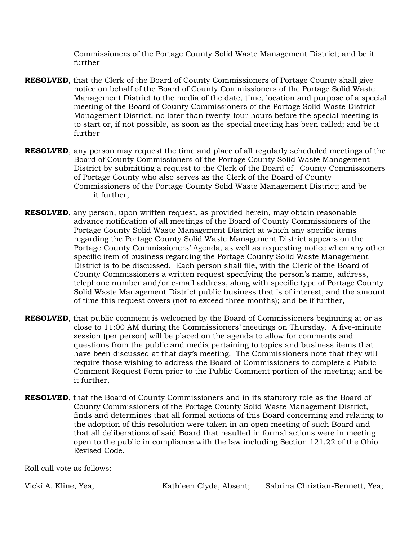Commissioners of the Portage County Solid Waste Management District; and be it further

- **RESOLVED**, that the Clerk of the Board of County Commissioners of Portage County shall give notice on behalf of the Board of County Commissioners of the Portage Solid Waste Management District to the media of the date, time, location and purpose of a special meeting of the Board of County Commissioners of the Portage Solid Waste District Management District, no later than twenty-four hours before the special meeting is to start or, if not possible, as soon as the special meeting has been called; and be it further
- **RESOLVED**, any person may request the time and place of all regularly scheduled meetings of the Board of County Commissioners of the Portage County Solid Waste Management District by submitting a request to the Clerk of the Board of County Commissioners of Portage County who also serves as the Clerk of the Board of County Commissioners of the Portage County Solid Waste Management District; and be it further,
- **RESOLVED**, any person, upon written request, as provided herein, may obtain reasonable advance notification of all meetings of the Board of County Commissioners of the Portage County Solid Waste Management District at which any specific items regarding the Portage County Solid Waste Management District appears on the Portage County Commissioners' Agenda, as well as requesting notice when any other specific item of business regarding the Portage County Solid Waste Management District is to be discussed. Each person shall file, with the Clerk of the Board of County Commissioners a written request specifying the person's name, address, telephone number and/or e-mail address, along with specific type of Portage County Solid Waste Management District public business that is of interest, and the amount of time this request covers (not to exceed three months); and be if further,
- **RESOLVED**, that public comment is welcomed by the Board of Commissioners beginning at or as close to 11:00 AM during the Commissioners' meetings on Thursday. A five-minute session (per person) will be placed on the agenda to allow for comments and questions from the public and media pertaining to topics and business items that have been discussed at that day's meeting. The Commissioners note that they will require those wishing to address the Board of Commissioners to complete a Public Comment Request Form prior to the Public Comment portion of the meeting; and be it further,
- **RESOLVED**, that the Board of County Commissioners and in its statutory role as the Board of County Commissioners of the Portage County Solid Waste Management District, finds and determines that all formal actions of this Board concerning and relating to the adoption of this resolution were taken in an open meeting of such Board and that all deliberations of said Board that resulted in formal actions were in meeting open to the public in compliance with the law including Section 121.22 of the Ohio Revised Code.

Roll call vote as follows:

Vicki A. Kline, Yea; The Kathleen Clyde, Absent; Sabrina Christian-Bennett, Yea;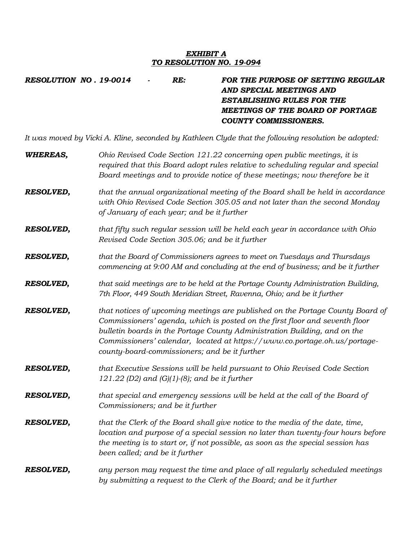### *EXHIBIT A TO RESOLUTION NO. 19-094*

*RESOLUTION NO . 19-0014 - RE: FOR THE PURPOSE OF SETTING REGULAR AND SPECIAL MEETINGS AND ESTABLISHING RULES FOR THE MEETINGS OF THE BOARD OF PORTAGE COUNTY COMMISSIONERS.*

*It was moved by Vicki A. Kline, seconded by Kathleen Clyde that the following resolution be adopted:*

| <b>WHEREAS,</b>  | Ohio Revised Code Section 121.22 concerning open public meetings, it is<br>required that this Board adopt rules relative to scheduling regular and special<br>Board meetings and to provide notice of these meetings; now therefore be it                                                                                                                                |
|------------------|--------------------------------------------------------------------------------------------------------------------------------------------------------------------------------------------------------------------------------------------------------------------------------------------------------------------------------------------------------------------------|
| <b>RESOLVED,</b> | that the annual organizational meeting of the Board shall be held in accordance<br>with Ohio Revised Code Section 305.05 and not later than the second Monday<br>of January of each year; and be it further                                                                                                                                                              |
| <b>RESOLVED,</b> | that fifty such regular session will be held each year in accordance with Ohio<br>Revised Code Section 305.06; and be it further                                                                                                                                                                                                                                         |
| <b>RESOLVED,</b> | that the Board of Commissioners agrees to meet on Tuesdays and Thursdays<br>commencing at 9:00 AM and concluding at the end of business; and be it further                                                                                                                                                                                                               |
| <b>RESOLVED,</b> | that said meetings are to be held at the Portage County Administration Building,<br>7th Floor, 449 South Meridian Street, Ravenna, Ohio; and be it further                                                                                                                                                                                                               |
| <b>RESOLVED,</b> | that notices of upcoming meetings are published on the Portage County Board of<br>Commissioners' agenda, which is posted on the first floor and seventh floor<br>bulletin boards in the Portage County Administration Building, and on the<br>Commissioners' calendar, located at https://www.co.portage.oh.us/portage-<br>county-board-commissioners; and be it further |
| <b>RESOLVED,</b> | that Executive Sessions will be held pursuant to Ohio Revised Code Section<br>121.22 (D2) and (G)(1)-(8); and be it further                                                                                                                                                                                                                                              |
| <b>RESOLVED,</b> | that special and emergency sessions will be held at the call of the Board of<br>Commissioners; and be it further                                                                                                                                                                                                                                                         |
| <b>RESOLVED,</b> | that the Clerk of the Board shall give notice to the media of the date, time,<br>location and purpose of a special session no later than twenty-four hours before<br>the meeting is to start or, if not possible, as soon as the special session has<br>been called; and be it further                                                                                   |
| <b>RESOLVED,</b> | any person may request the time and place of all regularly scheduled meetings<br>by submitting a request to the Clerk of the Board; and be it further                                                                                                                                                                                                                    |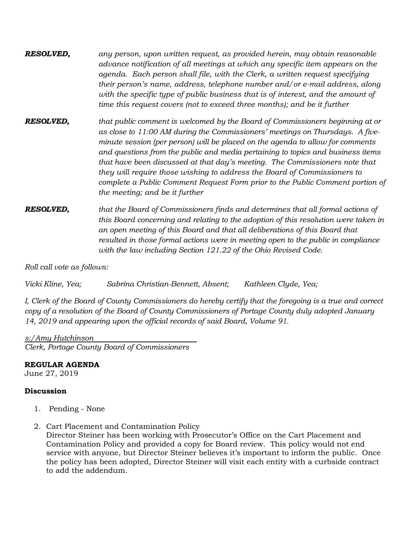*RESOLVED, any person, upon written request, as provided herein, may obtain reasonable advance notification of all meetings at which any specific item appears on the agenda. Each person shall file, with the Clerk, a written request specifying their person's name, address, telephone number and/or e-mail address, along with the specific type of public business that is of interest, and the amount of time this request covers (not to exceed three months); and be it further*

*RESOLVED, that public comment is welcomed by the Board of Commissioners beginning at or as close to 11:00 AM during the Commissioners' meetings on Thursdays. A fiveminute session (per person) will be placed on the agenda to allow for comments and questions from the public and media pertaining to topics and business items that have been discussed at that day's meeting. The Commissioners note that they will require those wishing to address the Board of Commissioners to complete a Public Comment Request Form prior to the Public Comment portion of the meeting; and be it further* 

*RESOLVED, that the Board of Commissioners finds and determines that all formal actions of this Board concerning and relating to the adoption of this resolution were taken in an open meeting of this Board and that all deliberations of this Board that resulted in those formal actions were in meeting open to the public in compliance with the law including Section 121.22 of the Ohio Revised Code.*

*Roll call vote as follows:*

*Vicki Kline, Yea; Sabrina Christian-Bennett, Absent; Kathleen Clyde, Yea;*

*I, Clerk of the Board of County Commissioners do hereby certify that the foregoing is a true and correct copy of a resolution of the Board of County Commissioners of Portage County duly adopted January 14, 2019 and appearing upon the official records of said Board, Volume 91.* 

*s:/Amy Hutchinson Clerk, Portage County Board of Commissioners*

# **REGULAR AGENDA**

June 27, 2019

## **Discussion**

- 1. Pending None
- 2. Cart Placement and Contamination Policy

Director Steiner has been working with Prosecutor's Office on the Cart Placement and Contamination Policy and provided a copy for Board review. This policy would not end service with anyone, but Director Steiner believes it's important to inform the public. Once the policy has been adopted, Director Steiner will visit each entity with a curbside contract to add the addendum.